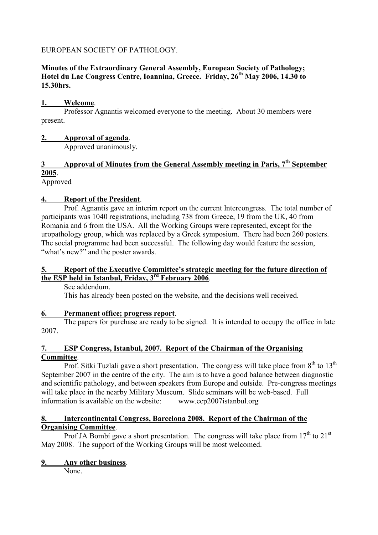## EUROPEAN SOCIETY OF PATHOLOGY.

#### **Minutes of the Extraordinary General Assembly, European Society of Pathology; Hotel du Lac Congress Centre, Ioannina, Greece. Friday, 26th May 2006, 14.30 to 15.30hrs.**

## **1. Welcome**.

 Professor Agnantis welcomed everyone to the meeting. About 30 members were present.

#### **2. Approval of agenda**.

Approved unanimously.

# **3 Approval of Minutes from the General Assembly meeting in Paris, 7th September 2005**.

Approved

## **4. Report of the President**.

 Prof. Agnantis gave an interim report on the current Intercongress. The total number of participants was 1040 registrations, including 738 from Greece, 19 from the UK, 40 from Romania and 6 from the USA. All the Working Groups were represented, except for the uropathology group, which was replaced by a Greek symposium. There had been 260 posters. The social programme had been successful. The following day would feature the session, "what's new?" and the poster awards.

## **5. Report of the Executive Committee's strategic meeting for the future direction of the ESP held in Istanbul, Friday, 3rd February 2006**.

See addendum.

This has already been posted on the website, and the decisions well received.

## **6. Permanent office; progress report**.

 The papers for purchase are ready to be signed. It is intended to occupy the office in late 2007.

#### **7. ESP Congress, Istanbul, 2007. Report of the Chairman of the Organising Committee**.

Prof. Sitki Tuzlali gave a short presentation. The congress will take place from  $8<sup>th</sup>$  to  $13<sup>th</sup>$ September 2007 in the centre of the city. The aim is to have a good balance between diagnostic and scientific pathology, and between speakers from Europe and outside. Pre-congress meetings will take place in the nearby Military Museum. Slide seminars will be web-based. Full information is available on the website: www.ecp2007istanbul.org

#### **8. Intercontinental Congress, Barcelona 2008. Report of the Chairman of the Organising Committee**.

Prof JA Bombí gave a short presentation. The congress will take place from  $17<sup>th</sup>$  to  $21<sup>st</sup>$ May 2008. The support of the Working Groups will be most welcomed.

## **9. Any other business**.

None.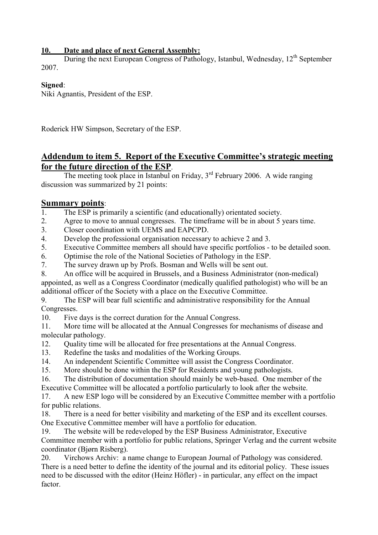## **10. Date and place of next General Assembly:**

During the next European Congress of Pathology, Istanbul, Wednesday, 12<sup>th</sup> September 2007.

## **Signed**:

Niki Agnantis, President of the ESP.

Roderick HW Simpson, Secretary of the ESP.

# **Addendum to item 5. Report of the Executive Committee's strategic meeting for the future direction of the ESP**.

The meeting took place in Istanbul on Friday,  $3<sup>rd</sup>$  February 2006. A wide ranging discussion was summarized by 21 points:

## **Summary points**:

- 1. The ESP is primarily a scientific (and educationally) orientated society.
- 2. Agree to move to annual congresses. The timeframe will be in about 5 years time.
- 3. Closer coordination with UEMS and EAPCPD.
- 4. Develop the professional organisation necessary to achieve 2 and 3.
- 5. Executive Committee members all should have specific portfolios to be detailed soon.
- 6. Optimise the role of the National Societies of Pathology in the ESP.
- 7. The survey drawn up by Profs. Bosman and Wells will be sent out.
- 8. An office will be acquired in Brussels, and a Business Administrator (non-medical) appointed, as well as a Congress Coordinator (medically qualified pathologist) who will be an additional officer of the Society with a place on the Executive Committee.

9. The ESP will bear full scientific and administrative responsibility for the Annual Congresses.

10. Five days is the correct duration for the Annual Congress.

11. More time will be allocated at the Annual Congresses for mechanisms of disease and molecular pathology.

- 12. Quality time will be allocated for free presentations at the Annual Congress.
- 13. Redefine the tasks and modalities of the Working Groups.
- 14. An independent Scientific Committee will assist the Congress Coordinator.
- 15. More should be done within the ESP for Residents and young pathologists.
- 16. The distribution of documentation should mainly be web-based. One member of the Executive Committee will be allocated a portfolio particularly to look after the website.

17. A new ESP logo will be considered by an Executive Committee member with a portfolio for public relations.

18. There is a need for better visibility and marketing of the ESP and its excellent courses. One Executive Committee member will have a portfolio for education.

19. The website will be redeveloped by the ESP Business Administrator, Executive Committee member with a portfolio for public relations, Springer Verlag and the current website coordinator (Bjørn Risberg).

20. Virchows Archiv: a name change to European Journal of Pathology was considered. There is a need better to define the identity of the journal and its editorial policy. These issues need to be discussed with the editor (Heinz Höfler) - in particular, any effect on the impact factor.